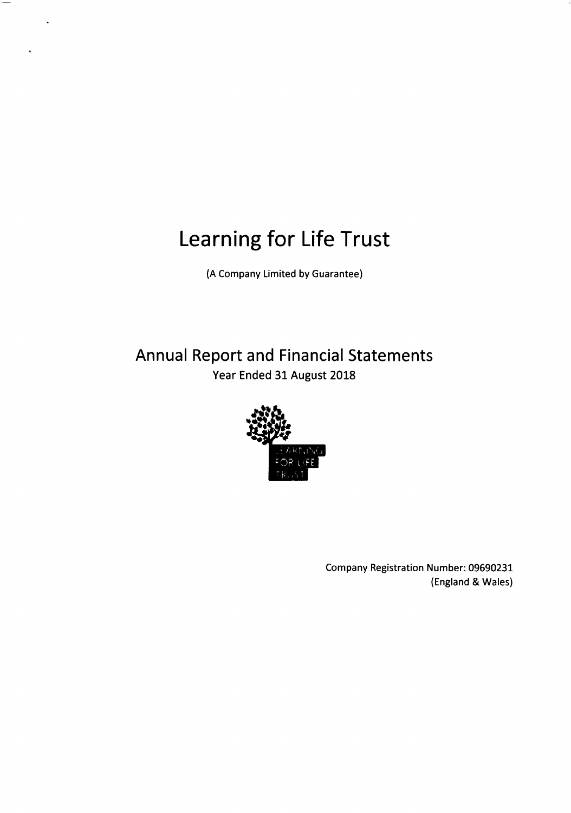(A Company Limited by Guarantee)

Annual Report and Financial Statements Year Ended 31 August 2018



Company Registration Number: 09690231 (England & Wales)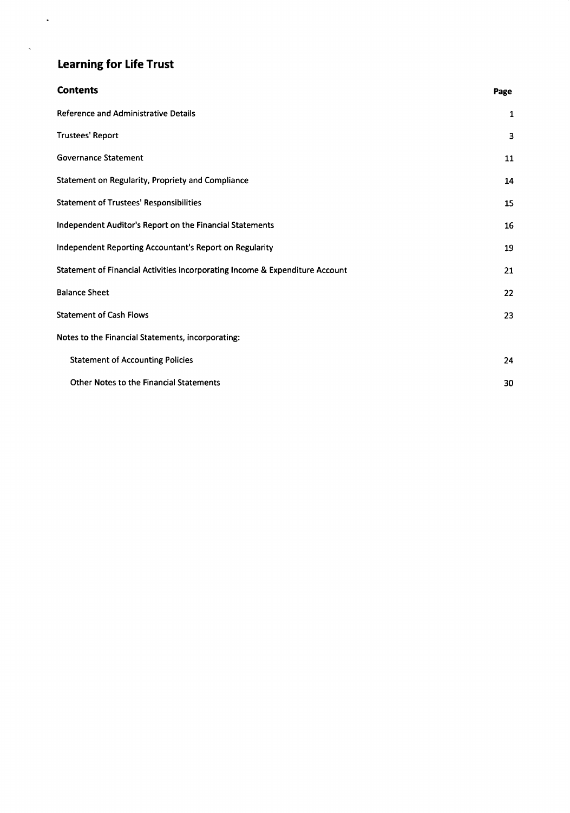$\sim 10^4$ 

 $\hat{\mathbf{v}}$ 

| <b>Contents</b>                                                              | Page |
|------------------------------------------------------------------------------|------|
| <b>Reference and Administrative Details</b>                                  | 1    |
| <b>Trustees' Report</b>                                                      | з    |
| <b>Governance Statement</b>                                                  | 11   |
| Statement on Regularity, Propriety and Compliance                            | 14   |
| <b>Statement of Trustees' Responsibilities</b>                               | 15   |
| Independent Auditor's Report on the Financial Statements                     | 16   |
| Independent Reporting Accountant's Report on Regularity                      | 19   |
| Statement of Financial Activities incorporating Income & Expenditure Account | 21   |
| <b>Balance Sheet</b>                                                         | 22   |
| <b>Statement of Cash Flows</b>                                               | 23   |
| Notes to the Financial Statements, incorporating:                            |      |
| <b>Statement of Accounting Policies</b>                                      | 24   |
| <b>Other Notes to the Financial Statements</b>                               | 30   |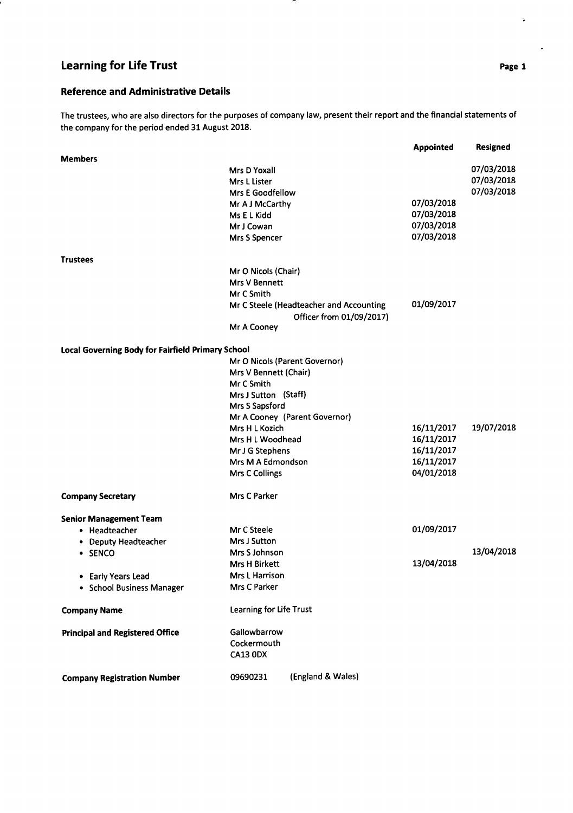### Reference and Administrative Details

The trustees, who are also directors for the purposes of company law, present their report and the financial statements of the company for the period ended 31 August 2018.

|                                                   |                               |                                         | <b>Appointed</b> | <b>Resigned</b> |
|---------------------------------------------------|-------------------------------|-----------------------------------------|------------------|-----------------|
| <b>Members</b>                                    |                               |                                         |                  |                 |
|                                                   | Mrs D Yoxall                  |                                         |                  | 07/03/2018      |
|                                                   | Mrs L Lister                  |                                         |                  | 07/03/2018      |
|                                                   | <b>Mrs E Goodfellow</b>       |                                         |                  | 07/03/2018      |
|                                                   | Mr A J McCarthy               |                                         | 07/03/2018       |                 |
|                                                   | Ms E L Kidd                   |                                         | 07/03/2018       |                 |
|                                                   | Mr J Cowan                    |                                         | 07/03/2018       |                 |
|                                                   | Mrs S Spencer                 |                                         | 07/03/2018       |                 |
| <b>Trustees</b>                                   |                               |                                         |                  |                 |
|                                                   | Mr O Nicols (Chair)           |                                         |                  |                 |
|                                                   | <b>Mrs V Bennett</b>          |                                         |                  |                 |
|                                                   | Mr C Smith                    |                                         |                  |                 |
|                                                   |                               | Mr C Steele (Headteacher and Accounting | 01/09/2017       |                 |
|                                                   |                               | Officer from 01/09/2017)                |                  |                 |
|                                                   | Mr A Cooney                   |                                         |                  |                 |
| Local Governing Body for Fairfield Primary School |                               |                                         |                  |                 |
|                                                   | Mr O Nicols (Parent Governor) |                                         |                  |                 |
|                                                   | Mrs V Bennett (Chair)         |                                         |                  |                 |
|                                                   | Mr C Smith                    |                                         |                  |                 |
|                                                   | Mrs J Sutton (Staff)          |                                         |                  |                 |
|                                                   | Mrs S Sapsford                |                                         |                  |                 |
|                                                   |                               | Mr A Cooney (Parent Governor)           |                  |                 |
|                                                   | Mrs H L Kozich                |                                         | 16/11/2017       | 19/07/2018      |
|                                                   | Mrs H L Woodhead              |                                         | 16/11/2017       |                 |
|                                                   | Mr J G Stephens               |                                         | 16/11/2017       |                 |
|                                                   | Mrs M A Edmondson             |                                         | 16/11/2017       |                 |
|                                                   | Mrs C Collings                |                                         | 04/01/2018       |                 |
| <b>Company Secretary</b>                          | <b>Mrs C Parker</b>           |                                         |                  |                 |
| <b>Senior Management Team</b>                     |                               |                                         |                  |                 |
| • Headteacher                                     | Mr C Steele                   |                                         | 01/09/2017       |                 |
| • Deputy Headteacher                              | Mrs J Sutton                  |                                         |                  |                 |
| • SENCO                                           | Mrs S Johnson                 |                                         |                  | 13/04/2018      |
|                                                   | <b>Mrs H Birkett</b>          |                                         | 13/04/2018       |                 |
| • Early Years Lead                                | Mrs L Harrison                |                                         |                  |                 |
| • School Business Manager                         | Mrs C Parker                  |                                         |                  |                 |
| <b>Company Name</b>                               | Learning for Life Trust       |                                         |                  |                 |
|                                                   |                               |                                         |                  |                 |
| <b>Principal and Registered Office</b>            | Gallowbarrow                  |                                         |                  |                 |
|                                                   | Cockermouth                   |                                         |                  |                 |
|                                                   | CA13 ODX                      |                                         |                  |                 |
| <b>Company Registration Number</b>                | 09690231                      | (England & Wales)                       |                  |                 |

 $\hat{\bullet}$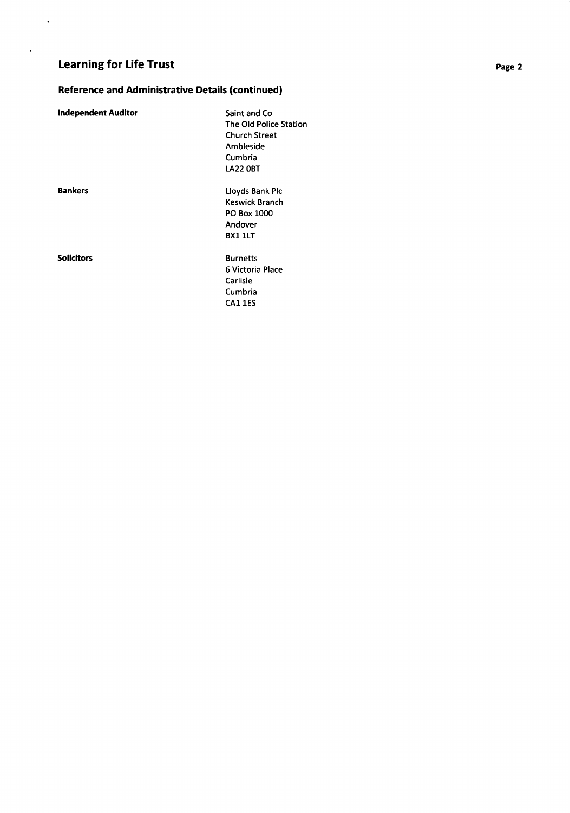$\hat{\mathbf{r}}$ 

 $\overline{\phantom{a}}$ 

### Reference and Administrative Details (continued)

| <b>Independent Auditor</b> | Saint and Co                  |
|----------------------------|-------------------------------|
|                            | <b>The Old Police Station</b> |
|                            | <b>Church Street</b>          |
|                            | Ambleside                     |
|                            | Cumbria                       |
|                            | <b>LA22 OBT</b>               |
| <b>Bankers</b>             | Lloyds Bank Plc               |
|                            | Keswick Branch                |
|                            | PO Box 1000                   |
|                            | Andover                       |
|                            | BX1 1LT                       |
| <b>Solicitors</b>          | Burnetts                      |
|                            | 6 Victoria Place              |
|                            | Carlisle                      |
|                            | Cumbria                       |

cA1 1ES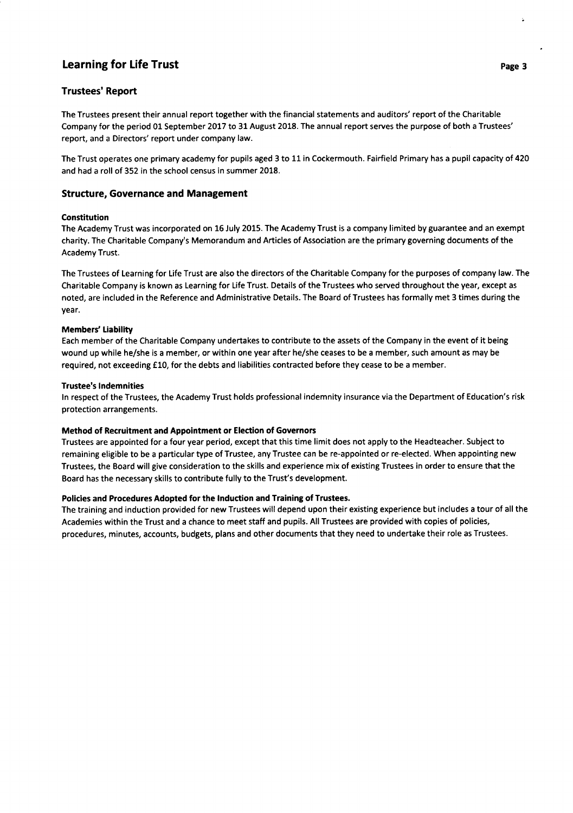### **Trustees' Report**

The Trustees present their annual report together with the financial statements and auditors' report of the Charitable Company for the period 01 September 2017 to 31 August 2018. The annual report serves the purpose of both a Trustees' report, and a Directors' report under company law.

The Trust operates one primary academy for pupils aged 3 to 11 in Cockermouth. Fairfield Primary has a pupil capacity of 420 and had a roll of 352 in the school census in summer 2018.

### Structure, Governance and Management

### Constitution

The Academy Trust was incorporated on 16 July 2015. The Academy Trust is a company limited by guarantee and an exempt charity. The Charitable Company's Memorandum and Articles of Association are the primary governing documents of the Academy Trust.

The Trustees of Learning for Life Trust are also the directors of the Charitable Company for the purposes of company law. The Charitable Company is known as Learning for Life Trust. Details of the Trustees who served throughout the year, except as noted, are included in the Reference and Administrative Details. The Board of Trustees has formally met 3 times during the year.

### Members' Liability

Each member of the Charitable Company undertakes to contribute to the assets of the Company in the event of it being wound up while he/she is a member, or within one year after he/she ceases to be a member, such amount as may be required, not exceeding £10, for the debts and liabilities contracted before they cease to be a member.

### Trustee's lndemnities

ln respect of the Trustees, the Academy Trust holds professional indemnity insurance via the Department of Education's risk protection arrangements.

### Method of Recruitment and Appointment or Election of Governors

Trustees are appointed for a four year period, except that this time limit does not apply to the Headteacher. Subject to remaining eligible to be a particular type of Trustee, any Trustee can be re-appointed or re-elected. When appointing new Trustees, the Board will give consideration to the skills and experience mix of existing Trustees in order to ensure that the Board has the necessary skills to contribute fully to the Trust's development.

### Policies and Procedures Adopted for the lnduction and Training of Trustees.

The training and induction provided for new Trustees will depend upon their existing experience but includes a tour of all the Academies within the Trust and a chance to meet staff and pupils. All Trustees are provided with copies of policies, procedures, minutes, accounts, budgets, plans and other documents that they need to undertake their role as Trustees.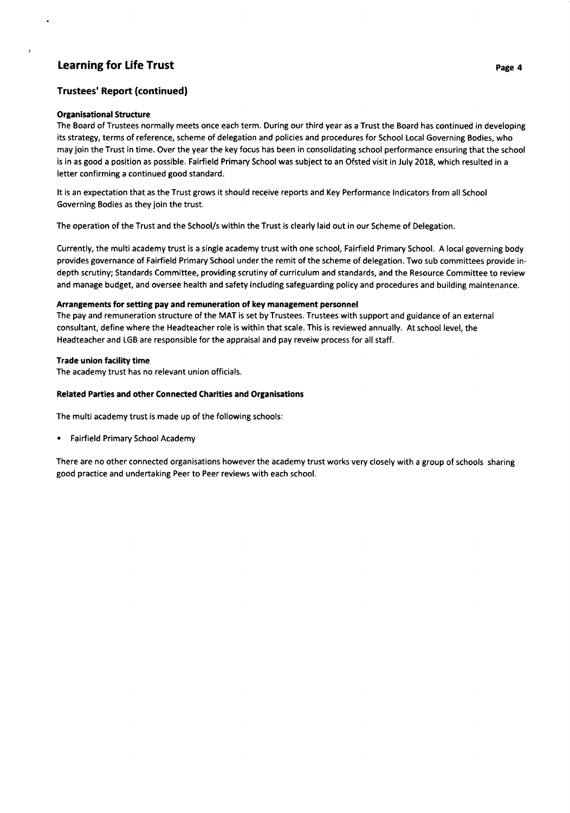### Learning for Life Trust passes and the contract of the contract of the passes of the passes of the passes of the passes of the passes of the passes of the passes of the passes of the passes of the passes of the passes of t

### Trustees' Report {continued}

#### Organisationa! Structure

The Board of Trustees normally meets once each term. During our third year as a Trust the Board has continued in developing its strategy, terms of reference, scheme of delegation and policies and procedures for School Local Governing Bodies, who may join the Trust in time. Over the year the key focus has been in consolidating school performance ensuring that the school is in as good a position as possible. Fairfield Primary School was subject to an Ofsted visit in July 2018, which resulted in <sup>a</sup> letter confirming a continued good standard.

It is an expectation that as the Trust grows it should receive reports and Key Performance lndicators from all School Governing Bodies as they join the trust.

The operation of the Trust and the School/s within the Trust is clearly laid out in our Scheme of Delegation.

Currently, the multi academy trust is a single academy trust with one school, Fairfield Primary School. A local governing body provides governance of Fairfield Primary School under the remit of the scheme of delegation. Two sub committees provide indepth scrutiny; Standards Committee, providing scrutiny of curriculum and standards, and the Resource Committee to review and manage budget, and oversee health and safety including safeguarding policy and procedures and building maintenance.

### Arrangements for setting pay and remuneration of key management personnel

The pay and remuneration structure of the MAT is set by Trustees. Trustees with support and guidance of an external consultant, define where the Headteacher role is within that scale. This is reviewed annually. At school level, the Headteacher and LGB are responsible for the appraisal and pay reveiw process for all staff.

### Trade union facility time

The academy trust has no relevant union officials.

### Related Parties and other Connected Charities and Organisations

The multi academy trust is made up of the following schools:

. Fairfield Primary School Academy

There are no other connected organisations however the academy trust works very closely with a group of schools sharing good practice and undertaking Peer to Peer reviews with each school.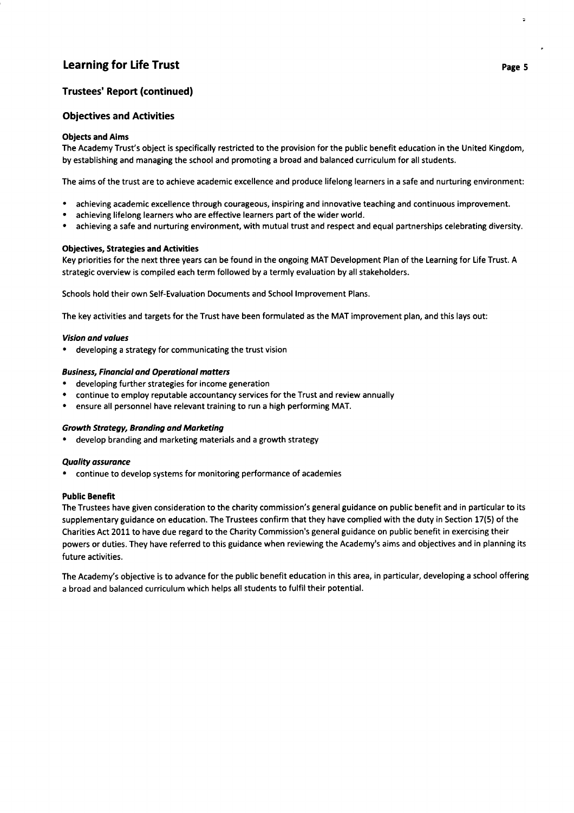### Trustees' Report (continued)

### Obiectives and Activities

### Objects and Aims

The Academy Trust's object is specifically restricted to the provision for the public benefit education in the United Kingdom, by establishing and managing the school and promoting a broad and balanced curriculum for all students.

The aims of the trust are to achieve academic excellence and produce lifelong learners in a safe and nurturing environment:

- . achieving academic excellence through courageous, inspiring and innovative teaching and continuous improvement.
- . achieving lifelong learners who are effective learners part of the wider world.
- . achieving a safe and nurturing environment, with mutual trust and respect and equal partnerships celebrating diversity.

### Objectives, Strategies and Activities

Key priorities for the next three years can be found in the ongoing MAT Development Plan of the Learning for Life Trust. A strategic overview is compiled each term followed by a termly evaluation by all stakeholders.

Schools hold their own Self-Evaluation Documents and School lmprovement Plans.

The key activities and targets for the Trust have been formulated as the MAT improvement plan, and this lays out:

#### Vision and volues

developing a strategy for communicating the trust vision

### Business, Financiol and Operationol motters

- . developing further strategies for income generation
- continue to employ reputable accountancy services for the Trust and review annually
- ensure all personnel have relevant training to run a high performing MAT.

#### Growth Strotegy, Bronding ond Morketing

. develop branding and marketing materials and a growth strategy

#### Quolity ossuronce

. continue to develop systems for monitoring performance of academies

#### Public Benefit

The Trustees have given consideration to the charity commission's general guidance on public benefit and in particular to its supplementary guidance on education. The Trustees confirm that they have complied with the duty in Section 17(5) of the Charities Act 2011 to have due regard to the Charity Commission's general guidance on public benefit in exercising their powers or duties. They have referred to this guidance when reviewing the Academy's aims and objectives and in planning its future activities.

The Academy's objective is to advance for the public benefit education in this area, in particular, developing a school offering a broad and balanced curriculum which helps all students to fulfil their potential.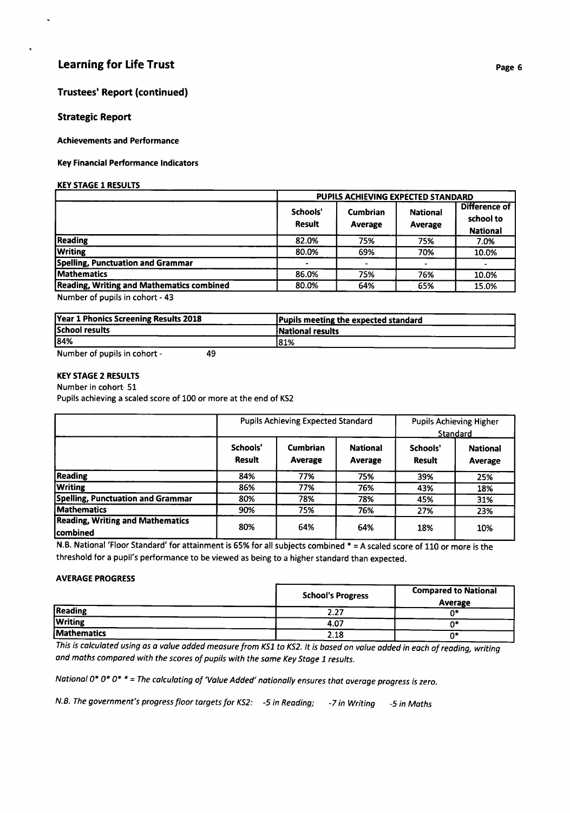### Trustees' Report (continued)

### Strategic Report

Achievements and Performance

### Key Financial Performance lndicators

### **KEY STAGE 1 RESULTS**

|                                           | PUPILS ACHIEVING EXPECTED STANDARD |                            |                            |                                               |  |
|-------------------------------------------|------------------------------------|----------------------------|----------------------------|-----------------------------------------------|--|
|                                           | Schools'<br>Result                 | <b>Cumbrian</b><br>Average | <b>National</b><br>Average | Difference of<br>school to<br><b>National</b> |  |
| <b>Reading</b>                            | 82.0%                              | 75%                        | 75%                        | 7.0%                                          |  |
| <b>Writing</b>                            | 80.0%                              | 69%                        | 70%                        | 10.0%                                         |  |
| Spelling, Punctuation and Grammar         |                                    |                            |                            |                                               |  |
| <b>Mathematics</b>                        | 86.0%                              | 75%                        | 76%                        | 10.0%                                         |  |
| Reading, Writing and Mathematics combined | 80.0%                              | 64%                        | 65%                        | 15.0%                                         |  |

Number of pupils in cohort - 43

| Year 1 Phonics Screening Results 2018 | Pupils meeting the expected standard |
|---------------------------------------|--------------------------------------|
| School results                        | <b>National results</b>              |
| 84%                                   | 81%                                  |

Number of pupils in cohort - <sup>49</sup>

### **KEY STAGE 2 RESULTS**

#### Number in cohort 51

Pupils achieving a scaled score of 100 or more at the end of KS2

|                                                      | <b>Pupils Achieving Expected Standard</b> |                            |                            | <b>Pupils Achieving Higher</b><br>Standard |                                   |
|------------------------------------------------------|-------------------------------------------|----------------------------|----------------------------|--------------------------------------------|-----------------------------------|
|                                                      | Schools'<br><b>Result</b>                 | <b>Cumbrian</b><br>Average | <b>National</b><br>Average | Schools'<br><b>Result</b>                  | <b>National</b><br><b>Average</b> |
| Reading                                              | 84%                                       | 77%                        | 75%                        | 39%                                        | 25%                               |
| <b>Writing</b>                                       | 86%                                       | 77%                        | 76%                        | 43%                                        | 18%                               |
| <b>Spelling, Punctuation and Grammar</b>             | 80%                                       | 78%                        | 78%                        | 45%                                        | 31%                               |
| <b>Mathematics</b>                                   | 90%                                       | 75%                        | 76%                        | 27%                                        | 23%                               |
| <b>Reading, Writing and Mathematics</b><br>lcombined | 80%                                       | 64%                        | 64%                        | 18%                                        | 10%                               |

N.B. National 'Floor Standard' for attainment is 65% for all subjects combined  $* = A$  scaled score of 110 or more is the threshold for a pupil's performance to be viewed as being to a higher standard than expected.

### AVERAGE PROGRESS

|                    | <b>School's Progress</b> | <b>Compared to National</b><br>Average |  |
|--------------------|--------------------------|----------------------------------------|--|
| <b>Reading</b>     | 2.27                     |                                        |  |
| <b>Writing</b>     | 4.07                     |                                        |  |
| <b>Mathematics</b> | 2.18                     |                                        |  |

This is calculated using as a value added measure from KS1 to KS2. It is based on value added in each of reading, writi and maths compared with the scores of pupils with the same Key Stage 1 results.

National 0\* 0\* 0\* \* = The calculating of 'Value Added' nationally ensures that average progress is zero.

N.B. The government's progress floor targets for KS2: - 5 in Reading; -7 in Writing - 5 in Maths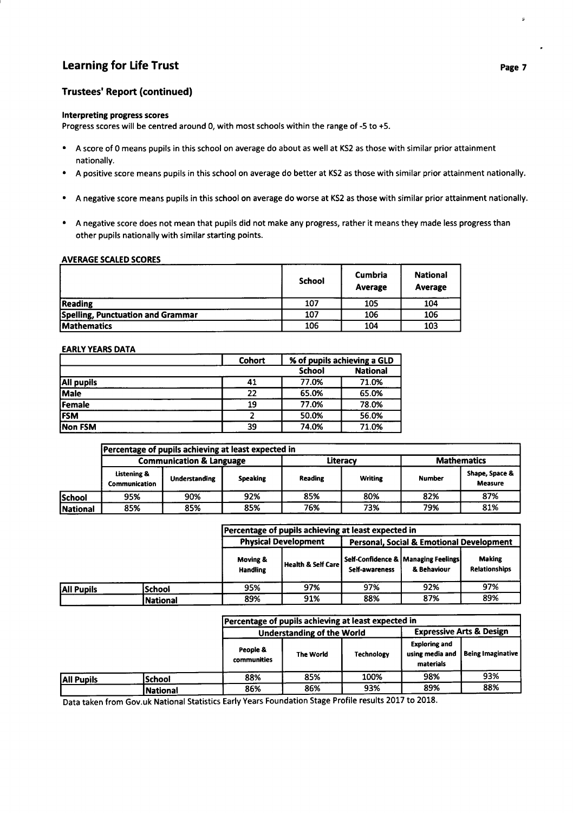### Learning for Life Trust passes of the contract of the contract of the contract of the contract of the contract of the contract of the contract of the contract of the contract of the contract of the contract of the contract

### Trustees' Report (continued)

#### lnterpreting progress scores

Progress scores will be centred around 0, with most schools within the range of -5 to +5.

- . A score of 0 means pupils in this school on average do about as well at KS2 as those with similar prior attainment nationally.
- A positive score means pupils in this school on average do better at KS2 as those with similar prior attainment nationally.
- . A negative score means pupils in this school on average do worse at KS2 as those with similar prior attainment nationally.
- . A negative score does not mean that pupils did not make any progress, rather it means they made less progress than other pupils nationally with similar starting points.

### **AVERAGE SCALED SCORES**

|                                   | <b>School</b> | <b>Cumbria</b><br>Average | <b>National</b><br>Average |
|-----------------------------------|---------------|---------------------------|----------------------------|
| <b>Reading</b>                    | 107           | 105                       | 104                        |
| Spelling, Punctuation and Grammar | 107           | 106                       | 106                        |
| <b>Mathematics</b>                | 106           | 104                       | 103                        |

### **EARLY YEARS DATA**

|                   | Cohort        | % of pupils achieving a GLD |       |  |
|-------------------|---------------|-----------------------------|-------|--|
|                   | <b>School</b> | <b>National</b>             |       |  |
| <b>All pupils</b> | 41            | 77.0%                       | 71.0% |  |
| Male              | 22            | 65.0%                       | 65.0% |  |
| Female            | 19            | 77.0%                       | 78.0% |  |
| <b>FSM</b>        |               | 50.0%<br>56.0%              |       |  |
| Non FSM           | 39            | 74.0%                       | 71.0% |  |

|                 | Percentage of pupils achieving at least expected in |                                     |                 |                |                |               |                                  |  |
|-----------------|-----------------------------------------------------|-------------------------------------|-----------------|----------------|----------------|---------------|----------------------------------|--|
|                 |                                                     | <b>Communication &amp; Language</b> |                 |                | Literacy       |               | <b>Mathematics</b>               |  |
|                 | Listening &<br><b>Communication</b>                 | <b>Understanding</b>                | <b>Speaking</b> | <b>Reading</b> | <b>Writing</b> | <b>Number</b> | Shape, Space &<br><b>Measure</b> |  |
| School          | 95%                                                 | 90%                                 | 92%             | 85%            | 80%            | 82%           | 87%                              |  |
| <b>National</b> | 85%                                                 | 85%                                 | 85%             | 76%            | 73%            | 79%           | 81%                              |  |

|                   |                 | Percentage of pupils achieving at least expected in                     |                        |                |                                                    |                                       |  |  |
|-------------------|-----------------|-------------------------------------------------------------------------|------------------------|----------------|----------------------------------------------------|---------------------------------------|--|--|
|                   |                 | <b>Physical Development</b><br>Personal, Social & Emotional Development |                        |                |                                                    |                                       |  |  |
|                   |                 | Moving &<br><b>Handling</b>                                             | l Health & Self Care l | Self-awareness | Self-Confidence & Managing Feelings<br>& Behaviour | <b>Making</b><br><b>Relationships</b> |  |  |
| <b>All Pupils</b> | lSchool         | 95%                                                                     | 97%                    | 97%            | 92%                                                | 97%                                   |  |  |
|                   | <b>National</b> | 89%                                                                     | 91%                    | 88%            | 87%                                                | 89%                                   |  |  |

|            |                 | Percentage of pupils achieving at least expected in |                                   |                   |                                                      |                                     |
|------------|-----------------|-----------------------------------------------------|-----------------------------------|-------------------|------------------------------------------------------|-------------------------------------|
|            |                 |                                                     | <b>Understanding of the World</b> |                   |                                                      | <b>Expressive Arts &amp; Design</b> |
|            |                 | People &<br>communities                             | <b>The World</b>                  | <b>Technology</b> | <b>Exploring and</b><br>using media and<br>materials | <b>Being Imaginative</b>            |
| All Pupils | <b>School</b>   | 88%                                                 | 85%                               | 100%              | 98%                                                  | 93%                                 |
|            | <b>National</b> | 86%                                                 | 86%                               | 93%               | 89%                                                  | 88%                                 |

Data taken from Gov.uk National Statistics Early Years Foundation Stage Profile results 2017 to 2018.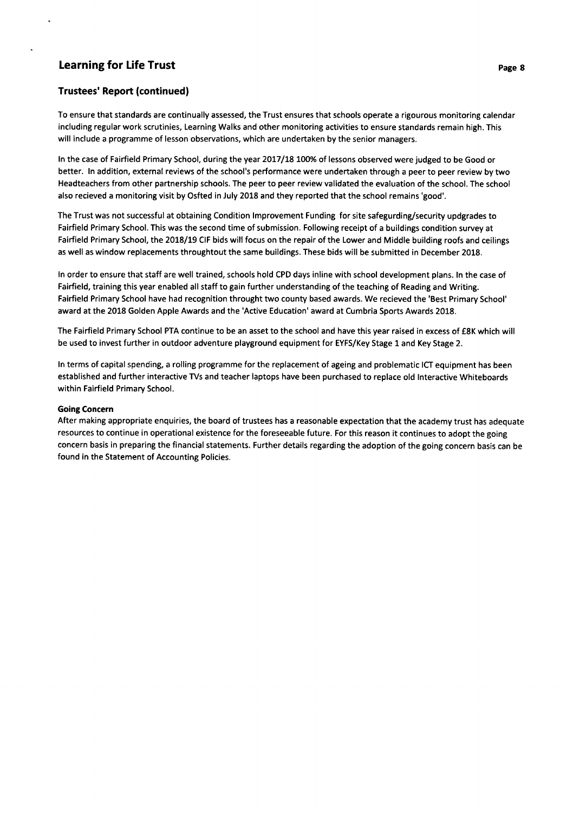### Trustees' Report (continued)

To ensure that standards are continually assessed, the Trust ensures that schools operate a rigourous monitoring calendar including regular work scrutinies, Learning Walks and other monitoring activities to ensure standards remain high. This will include a programme of lesson observations, which are undertaken by the senior managers.

In the case of Fairfield Primary School, during the year 2017/18 100% of lessons observed were judged to be Good or better. ln addition, external reviews of the school's performance were undertaken through a peer to peer review by two Headteachers from other partnership schools. The peer to peer review validated the evaluation of the school. The school also recieved a monitoring visit by Osfted in July 2018 and they reported that the school remains'good'.

The Trust was not successful at obtaining Condition lmprovement Funding for site safegurding/security updgrades to Fairfield Primary School. This was the second time of submission. Following receipt of a buildings condition survey at Fairfield Primary School, the 2018/19 CIF bids will focus on the repair of the Lower and Middle building roofs and ceilings as well as window replacements throughtout the same buildings. These bids will be submitted in December 2018.

ln order to ensure that staff are well trained, schools hold CPD days inline with school development plans. ln the case of Fairfield, training this year enabled all staff to gain further understanding of the teaching of Reading and Writing. Fairfield Primary School have had recognition throught two county based awards. We recieved the 'Best Primary School' award at the 2018 Golden Apple Awards and the 'Active Education' award at Cumbria Sports Awards 2018.

The Fairfield Primary School PTA continue to be an asset to the school and have this year raised in excess of €8K which will be used to invest further in outdoor adventure playground equipment for EYFS/Key Stage 1 and Key Stage 2.

ln terms of capital spending, a rolling programme for the replacement of ageing and problematic ICT equipment has been established and further interactive TVs and teacher laptops have been purchased to replace old lnteractive Whiteboards within Fairfield Primary School.

#### Going Concern

After making appropriate enquiries, the board of trustees has a reasonable expectation that the academy trust has adequate resources to continue in operational existence for the foreseeable future. For this reason it continues to adopt the going concern basis in preparing the financial statements. Further details regarding the adoption of the going concern basis can be found in the Statement of Accounting Policies.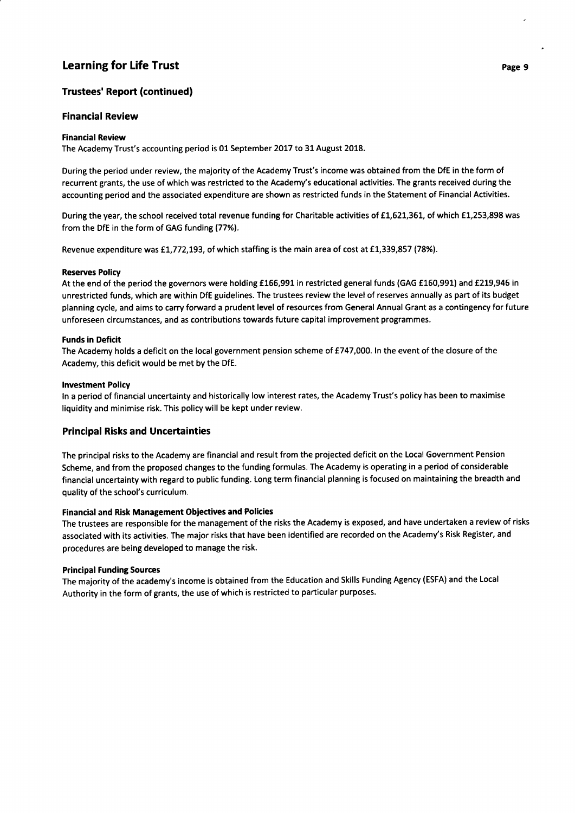### Trustees' Report (continued)

### **Financial Review**

### Financial Review

The Academy Trust's accounting period is 01 September 2017 to 31 August 2018.

During the period under review, the majority of the Academy Trust's income was obtained from the DfE in the form of recurrent grants, the use of which was restricted to the Academy's educational activities. The grants received during the accounting period and the associated expenditure are shown as restricted funds in the Statement of Financial Activities.

During the year, the school received total revenue funding for Charitable activities of £1,621,361, of which £1,253,898 was from the DfE in the form of GAG funding (77%).

Revenue expenditure was £1,772,193, of which staffing is the main area of cost at £1,339,857 (78%).

### Reserves Poliry

At the end of the period the governors were holding £166,991 in restricted general funds (GAG £160,991) and £219,946 in unrestricted funds, which are within DfE guidelines. The trustees review the level of reserves annually as part of its budget planning cycle, and aims to carry forward a prudent level of resources from General Annual Grant as a contingency for future unforeseen circumstances, and as contributions towards future capital improvement programmes.

### Funds in Deficit

The Academy holds a deficit on the local government pension scheme of £747,000. In the event of the closure of the Academy, this deficit would be met by the DfE.

### lnvestment Policy

ln a period of financial uncertainty and historically low interest rates, the Academy Trust's policy has been to maximise liquidity and minimise risk. This policy will be kept under review.

### Principa! Risks and Uncertainties

The principal risks to the Academy are financial and result from the projected deficit on the Local Government Pension Scheme, and from the proposed changes to the funding formulas. The Academy is operating in a period of considerable financial uncertainty with regard to public funding. Long term financial planning is focused on maintaining the breadth and quality of the school's curriculum.

#### Financial and Risk Management Objectives and Policies

The trustees are responsible for the management of the risks the Academy is exposed, and have undertaken a review of risks associated with its activities. The major risks that have been identified are recorded on the Academy's Risk Register, and procedures are being developed to manage the risk.

#### Principal Funding Sources

The majority of the academy's income is obtained from the Education and Skills Funding Agency (ESFA) and the Local Authority in the form of grants, the use of which is restricted to particular purposes.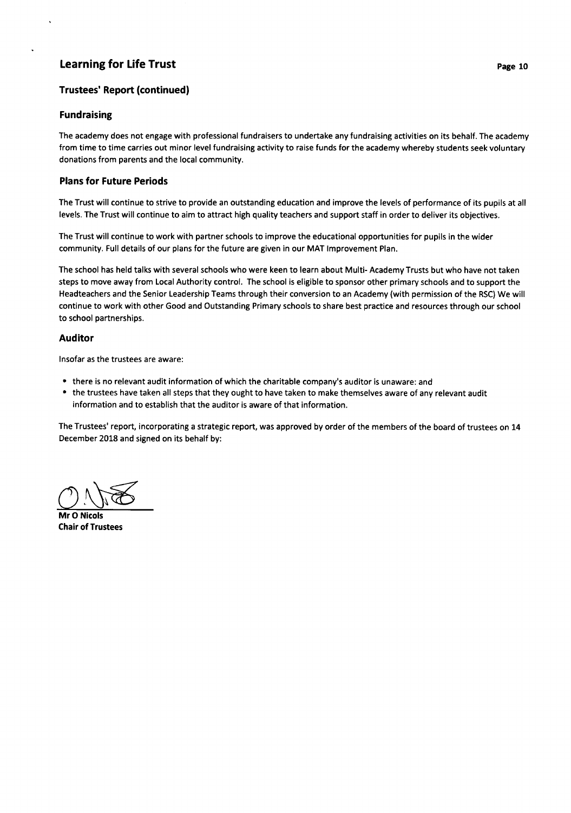### Trustees' Report (continued)

### Fundraising

The academy does not engage with professional fundraisers to undertake any fundraising activities on its behalf. The academy from time to time carries out minor level fundraising activity to raise funds for the academy whereby students seek voluntary donations from parents and the local community.

### Plans for Future Periods

The Trust will continue to strive to provide an outstanding education and improve the levels of performance of its pupils at all levels. The Trust will continue to aim to attract high quality teachers and support staff in order to deliver its objectives.

The Trust will continue to work with partner schools to improve the educational opportunities for pupils in the wider community. Full details of our plans for the future are given in our MAT lmprovement Plan.

The school has held talks with several schools who were keen to learn about Multi- Academy Trusts but who have not taken steps to move away from Local Authority control. The school is eligible to sponsor other primary schools and to support the Headteachers and the Senior Leadership Teams through their conversion to an Academy (with permission of the RSC) We will continue to work with other Good and Outstanding Primary schools to share best practice and resources through our school to school partnerships.

### Auditor

lnsofar as the trustees are aware:

- there is no relevant audit information of which the charitable company's auditor is unaware: and
- . the trustees have taken all steps that they ought to have taken to make themselves aware of any relevant audit information and to establish that the auditor is aware of that information.

The Trustees' report, incorporating a strategic report, was approved by order of the members of the board of trustees on 14 December 2018 and signed on its behalf by:

 $\bigcirc$  Negls

Mr O Nicols Chair of Trustees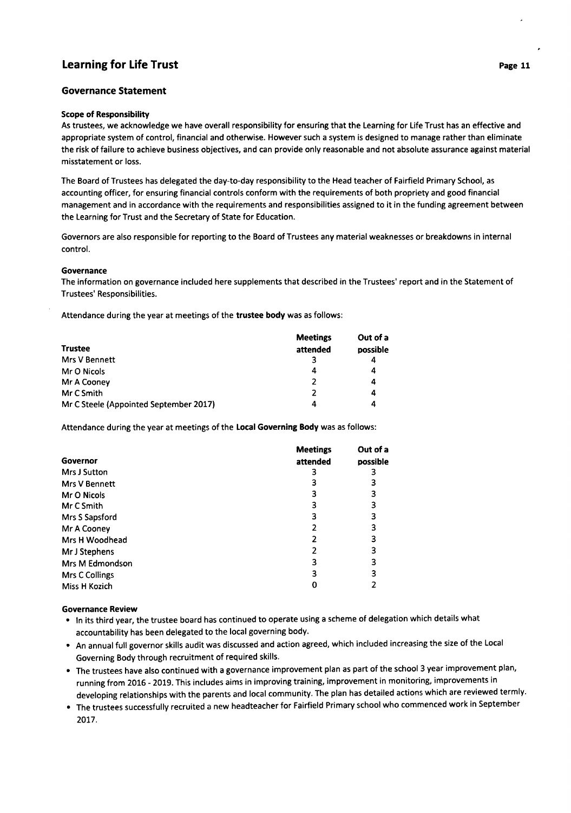### Governance Statement

#### Scope of Responsibility

As trustees, we acknowledge we have overall responsibility for ensuring that the Learning for Life Trust has an effective and appropriate system of control, financial and otherwise. However such a system is designed to manage rather than eliminate the risk of failure to achieve business objectives, and can provide only reasonable and not absolute assurance against material misstatement or loss.

The Board of Trustees has delegated the day-to-day responsibility to the Head teacher of Fairfield Primary School, as accounting officer, for ensuring financial controls conform with the requirements of both propriety and good financial management and in accordance with the requirements and responsibilities assigned to it in the funding agreement between the Learning for Trust and the Secretary of State for Education.

Governors are also responsible for reporting to the Board of Trustees any material weaknesses or breakdowns in internal control.

#### Governance

The information on governance included here supplements that described in the Trustees' report and in the Statement of Trustees' Responsibilities.

Attendance during the year at meetings of the trustee body was as follows:

|                                        | <b>Meetings</b> | Out of a |
|----------------------------------------|-----------------|----------|
| <b>Trustee</b>                         | attended        | possible |
| Mrs V Bennett                          |                 | 4        |
| Mr O Nicols                            | 4               | 4        |
| Mr A Cooney                            | 2               | 4        |
| Mr C Smith                             |                 | 4        |
| Mr C Steele (Appointed September 2017) | 4               | 4        |

Attendance during the year at meetings of the Local Governing Body was as follows:

|                      | <b>Meetings</b> | Out of a |
|----------------------|-----------------|----------|
| Governor             | attended        | possible |
| Mrs J Sutton         |                 |          |
| <b>Mrs V Bennett</b> |                 |          |
| Mr O Nicols          |                 | 3        |
| Mr C Smith           |                 |          |
| Mrs S Sapsford       |                 |          |
| Mr A Cooney          |                 |          |
| Mrs H Woodhead       |                 |          |
| Mr J Stephens        |                 |          |
| Mrs M Edmondson      | 3               |          |
| Mrs C Collings       | 3               |          |
| Miss H Kozich        |                 |          |

#### Governance Review

- In its third year, the trustee board has continued to operate using a scheme of delegation which details what accountability has been delegated to the local governing body.
- . An annual full governor skills audit was discussed and action agreed, which included increasing the size of the Local Governing Body through recruitment of required skills.
- , The trustees have also continued with a governance improvement plan as part of the school 3 year improvement plan, running from 2016 - 2019. This includes aims in improving training, improvement in monitoring, improvements in developing relationships with the parents and local community. The plan has detailed actions which are reviewed termly.
- . The trustees successfully recruited a new headteacher for Fairfield Primary school who commenced work in September 2017.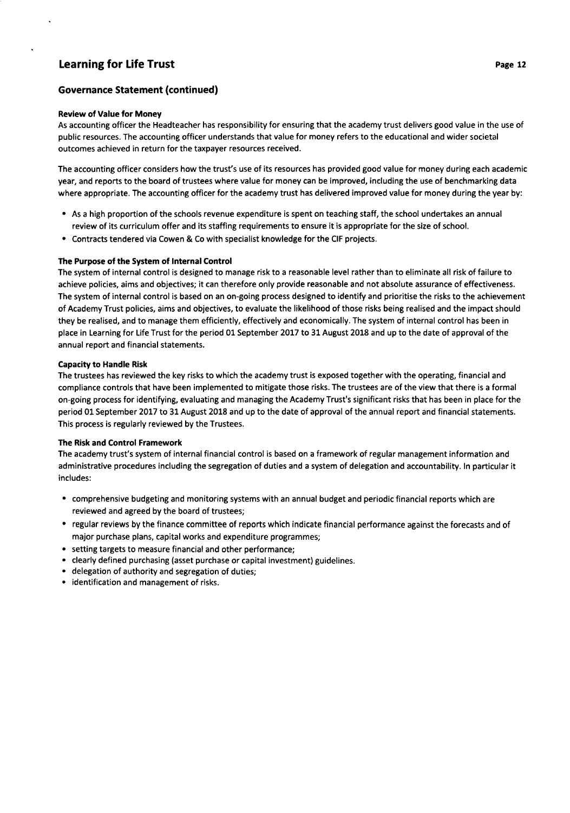### Governance Statement (continued)

#### Review of Value for Money

As accounting officer the Headteacher has responsibility for ensuring that the academy trust delivers good value in the use of public resources. The accounting officer understands that value for money refers to the educational and wider societal outcomes achieved in return for the taxpayer resources received.

The accounting officer considers how the trust's use of its resources has provided good value for money during each academic year, and reports to the board of trustees where value for money can be improved, including the use of benchmarking data where appropriate. The accounting officer for the academy trust has delivered improved value for money during the year by:

- . As a high proportion of the schools revenue expenditure is spent on teaching staff, the school undertakes an annual review of its curriculum offer and its staffing requirements to ensure it is appropriate for the size of school.
- . Contracts tendered via Cowen & Co with specialist knowledge for the CIF projects.

#### The Purpose of the System of lnternal Contro!

The system of internal control is designed to manage risk to a reasonable level rather than to eliminate all risk of failure to achieve policies, aims and objectives; it can therefore only provide reasonable and not absolute assurance of effectiveness. The system of internal control is based on an on-going process designed to identify and prioritise the risks to the achievement of Academy Trust policies, aims and objectives, to evaluate the likelihood of those risks being realised and the impact should they be realised, and to manage them efficiently, effectively and economically. The system of internal control has been in place in Learning for Life Trust for the period 01 September 2OL7 to 31 August 2018 and up to the date of approval of the annual report and financial statements.

#### Capacity to Handle Risk

The trustees has reviewed the key risks to which the academy trust is exposed together with the operating, financial and compliance controls that have been implemented to mitigate those risks. The trustees are of the view that there is a formal on-going process for identifying, evaluating and managing the Academy Trust's significant risks that has been in place for the period 01 September 2017 to 31 August 2018 and up to the date of approval of the annual report and financial statements. This process is regularly reviewed by the Trustees.

#### The Risk and Control Framework

The academy trust's system of internal financial control is based on a framework of regular management information and administrative procedures including the segregation of duties and a system of delegation and accountability. ln particular it includes:

- . comprehensive budgeting and monitoring systems with an annual budget and periodic financial reports which are reviewed and agreed by the board of trustees;
- . regular reviews by the finance committee of reports which indicate financial performance against the forecasts and of major purchase plans, capital works and expenditure programmes;
- . setting targets to measure financial and other performance;
- . clearly defined purchasing (asset purchase or capital investment) guidelines.
- . delegation of authority and segregation of duties;
- ' identification and management of risks.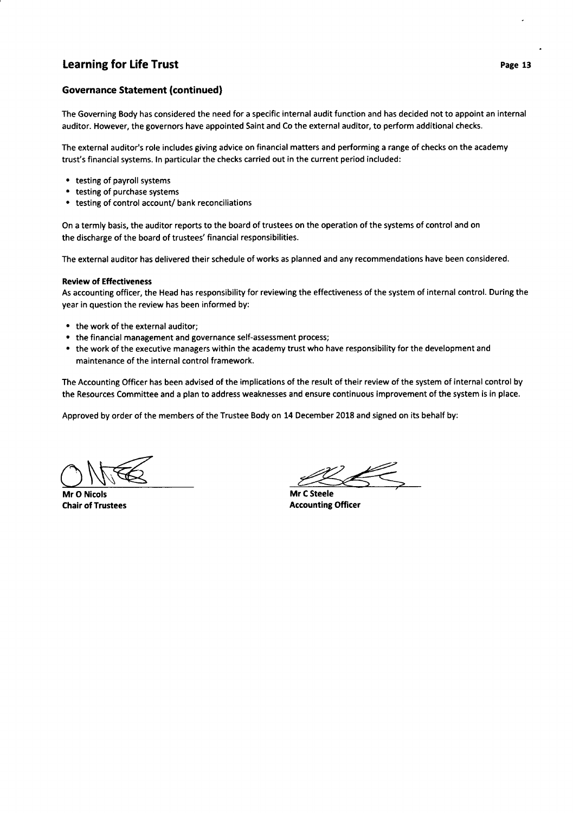### Governance Statement (continued)

The Governing Body has considered the need for a specific internal audit function and has decided not to appoint an internal auditor. However, the governors have appointed Saint and Co the external auditor, to perform additional checks.

The external auditor's role includes giving advice on financial matters and performing a range of checks on the academy trust's financial systems. ln particular the checks carried out in the current period included:

- . testing of payroll systems
- . testing of purchase systems
- . testing of control account/ bank reconciliations

On a termly basis, the auditor reports to the board of trustees on the operation of the systems of control and on the discharge of the board of trustees' financial responsibilities.

The external auditor has delivered their schedule of works as planned and any recommendations have been considered.

#### Review of Effectiveness

As accounting officer, the Head has responsibility for reviewing the effectiveness of the system of internal control. During the year in question the review has been informed by:

- . the work of the external auditor;
- the financial management and governance self-assessment process;
- . the work of the executive managers within the academy trust who have responsibility for the development and maintenance of the internal control framework.

The Accounting Officer has been advised of the implications of the result of their review of the system of internal control by the Resources Committee and a plan to address weaknesses and ensure continuous improvement of the system is in place.

Approved by order of the members of the Trustee Body on 14 December 2018 and signed on its behalf by:

My Company of the My Company of the My Company of the My Company of the My Company of the My Company of the My Company of the My Company of the My Company of the My Company of the My Company of the My Company of the My Com

Mr O Nicols Chair of Trustees

Mr C Steele Accounting Officer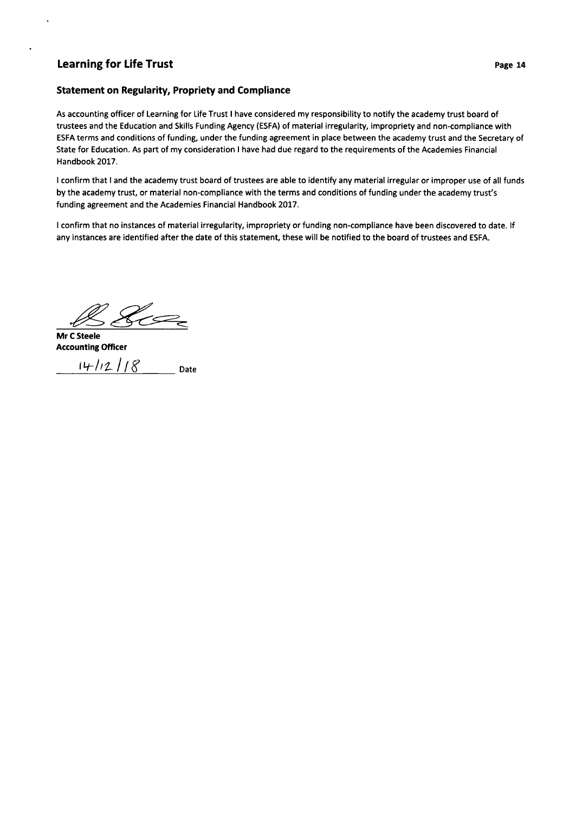### Statement on Regularity, Propriety and Compliance

As accounting officer of Learning for Life Trust I have considered my responsibility to notify the academy trust board of trustees and the Education and Skills Funding Agency (ESFA) of material irregularity, impropriety and non-compliance with ESFA terms and conditions of funding, under the funding agreement in place between the academy trust and the Secretary of State for Education. As part of my consideration I have had due regard to the requirements of the Academies Financial Handbook 2017.

I confirm that I and the academy trust board of trustees are able to identify any material irregular or improper use of all funds by the academy trust, or material non-compliance with the terms and conditions of funding under the academy trust's funding agreement and the Academies Financial Handbook 2017.

<sup>I</sup>confirm that no instances of material irregularity, impropriety or funding non-compliance have been discovered to date. lf any instances are identified after the date of this statement, these will be notified to the board of trustees and ESFA.

 $\mathscr{B}$ 

Mr C Steele Accounting Officer

 $14/12/8$  Date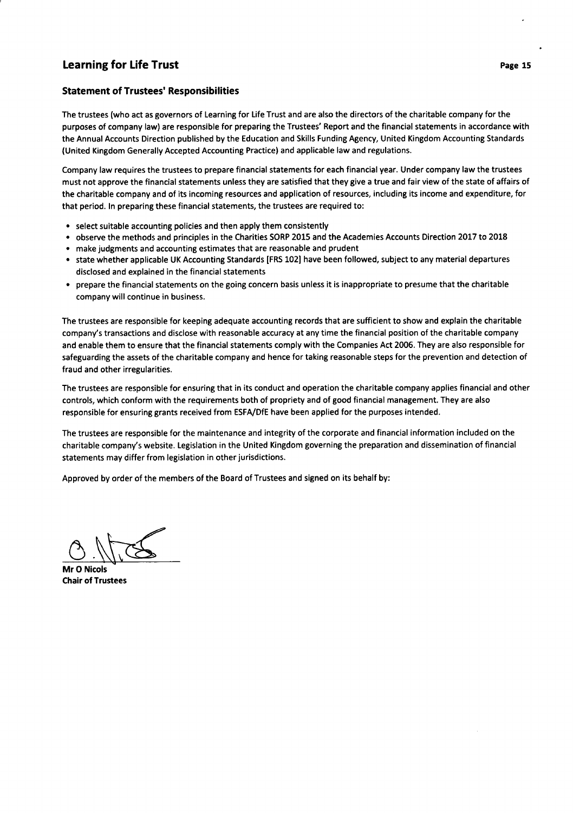### Statement of Trustees' Responsibilities

The trustees (who act as governors of Learning for Life Trust and are also the directors of the charitable company for the purposes of company law) are responsible for preparing the Trustees' Report and the financial statements in accordance with the Annual Accounts Direction published by the Education and Skills Funding Agency, United Kingdom Accounting Standards (United Kingdom Generally Accepted Accounting Practice) and applicable law and regulations.

Company law requires the trustees to prepare financial statements for each financial year. Under company law the trustees must not approve the financial statements unless they are satisfied that they give a true and fair view of the state of affairs of the charitable company and of its incoming resources and application of resources, including its income and expenditure, for that period. ln preparing these financial statements, the trustees are required to:

- . select suitable accounting policies and then apply them consistently
- . observe the methods and principles in the Charities SORP 2015 and the Academies Accounts Direction 2017 to 2018
- . make judgments and accounting estimates that are reasonable and prudent
- o state whether applicable UK Accounting Standards [FRS 102] have been followed, subject to any material departures disclosed and explained in the financial statements
- . prepare the financial statements on the going concern basis unless it is inappropriate to presume that the charitable company will continue in business.

The trustees are responsible for keeping adequate accounting records that are sufficient to show and explain the charitable company's transactions and disclose with reasonable accuracy at any time the financial position of the charitable company and enable them to ensure that the financial statements comply with the Companies Act 2006. They are also responsible for safeguarding the assets of the charitable company and hence for taking reasonable steps for the prevention and detection of fraud and other irregularities.

The trustees are responsible for ensuring that in its conduct and operation the charitable company applies financial and other controls, which conform with the requirements both of propriety and of good financial management. They are also responsible for ensuring grants received from ESFA/DfE have been applied for the purposes intended.

The trustees are responsible for the maintenance and integrity of the corporate and financial information included on the charitable company's website. Legislation in the United Kingdom governing the preparation and dissemination of financial statements may differ from legislation in other jurisdictions.

Approved by order of the members of the Board of Trustees and signed on its behalf by:

 $\circled{0}$ .  $\sqrt{166}$ 

Mr O Nicols Chair of Trustees